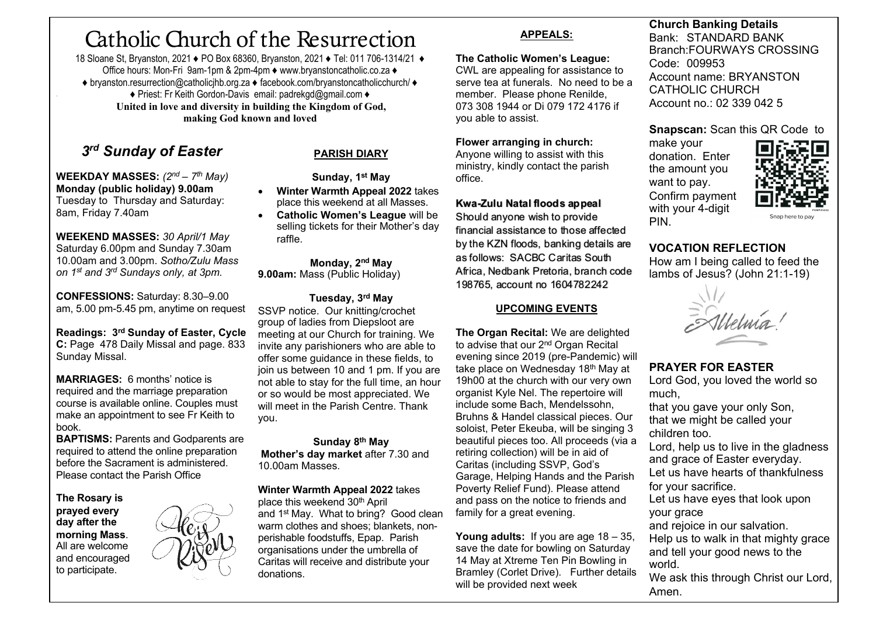# Catholic Church of the Resurrection

18 Sloane St, Bryanston, 2021 ♦ PO Box 68360, Bryanston, 2021 ♦ Tel: 011 706-1314/21 ♦ Office hours: Mon-Fri 9am-1pm & 2pm-4pm ♦ www.bryanstoncatholic.co.za ♦ ♦ bryanston.resurrection@catholicjhb.org.za ♦ facebook.com/bryanstoncatholicchurch/ ♦ ♦ Priest: Fr Keith Gordon-Davis email: padrekgd@gmail.com ♦ **United in love and diversity in building the Kingdom of God, making God known and loved**

# *3rd Sunday of Easter*

**WEEKDAY MASSES:** *(2nd – 7th May)*  **Monday (public holiday) 9.00am** Tuesday to Thursday and Saturday: 8am, Friday 7.40am

**WEEKEND MASSES:** *30 April/1 May* Saturday 6.00pm and Sunday 7.30am 10.00am and 3.00pm. *Sotho/Zulu Mass on 1st and 3rd Sundays only, at 3pm.*

**CONFESSIONS:** Saturday: 8.30–9.00 am, 5.00 pm-5.45 pm, anytime on request

**Readings: 3rd Sunday of Easter, Cycle C:** Page 478 Daily Missal and page. 833 Sunday Missal.

**MARRIAGES:** 6 months' notice is required and the marriage preparation course is available online. Couples must make an appointment to see Fr Keith to book.

**BAPTISMS: Parents and Godparents are** required to attend the online preparation before the Sacrament is administered. Please contact the Parish Office

**The Rosary is prayed every day after the morning Mass**. All are welcome and encouraged to participate.



### **PARISH DIARY**

**Sunday, 1st May** • **Winter Warmth Appeal 2022** takes

place this weekend at all Masses. • **Catholic Women's League** will be selling tickets for their Mother's day raffle.

#### **Monday, 2nd May**

**9.00am:** Mass (Public Holiday)

#### **Tuesday, 3rd May**

SSVP notice. Our knitting/crochet group of ladies from Diepsloot are meeting at our Church for training. We invite any parishioners who are able to offer some guidance in these fields, to join us between 10 and 1 pm. If you are not able to stay for the full time, an hour or so would be most appreciated. We will meet in the Parish Centre. Thank you.

**Sunday 8th May Mother's day market** after 7.30 and 10.00am Masses.

#### **Winter Warmth Appeal 2022** takes

place this weekend 30<sup>th</sup> April and 1st May. What to bring? Good clean warm clothes and shoes: blankets, nonperishable foodstuffs, Epap. Parish organisations under the umbrella of Caritas will receive and distribute your donations.

#### **APPEALS:**

#### **The Catholic Women's League:**

CWL are appealing for assistance to serve tea at funerals. No need to be a member. Please phone Renilde, 073 308 1944 or Di 079 172 4176 if you able to assist.

#### **Flower arranging in church:**

Anyone willing to assist with this ministry, kindly contact the parish office.

#### **Kwa-Zulu Natal floods appeal**

Should anyone wish to provide financial assistance to those affected by the KZN floods, banking details are as follows: SACBC Caritas South Africa, Nedbank Pretoria, branch code 198765, account no 1604782242

#### **UPCOMING EVENTS**

**The Organ Recital:** We are delighted to advise that our 2<sup>nd</sup> Organ Recital evening since 2019 (pre-Pandemic) will take place on Wednesday 18<sup>th</sup> May at 19h00 at the church with our very own organist Kyle Nel. The repertoire will include some Bach, Mendelssohn, Bruhns & Handel classical pieces. Our soloist, Peter Ekeuba, will be singing 3 beautiful pieces too. All proceeds (via a retiring collection) will be in aid of Caritas (including SSVP, God's Garage, Helping Hands and the Parish Poverty Relief Fund). Please attend and pass on the notice to friends and family for a great evening.

**Young adults:** If you are age 18 – 35, save the date for bowling on Saturday 14 May at Xtreme Ten Pin Bowling in Bramley (Corlet Drive). Further details will be provided next week

**Church Banking Details** Bank: STANDARD BANK Branch:FOURWAYS CROSSING Code: 009953 Account name: BRYANSTON CATHOLIC CHURCH Account no.: 02 339 042 5

#### **Snapscan:** Scan this QR Code to

make your donation. Enter the amount you want to pay. Confirm payment with your 4-digit PIN.



Snap here to pa

## **VOCATION REFLECTION**

How am I being called to feed the lambs of Jesus? (John 21:1-19)

Melma'

# **PRAYER FOR EASTER**

Lord God, you loved the world so much,

that you gave your only Son, that we might be called your children too.

Lord, help us to live in the gladness and grace of Easter everyday.

Let us have hearts of thankfulness for your sacrifice.

Let us have eyes that look upon your grace

and rejoice in our salvation.

Help us to walk in that mighty grace and tell your good news to the world.

We ask this through Christ our Lord, Amen.